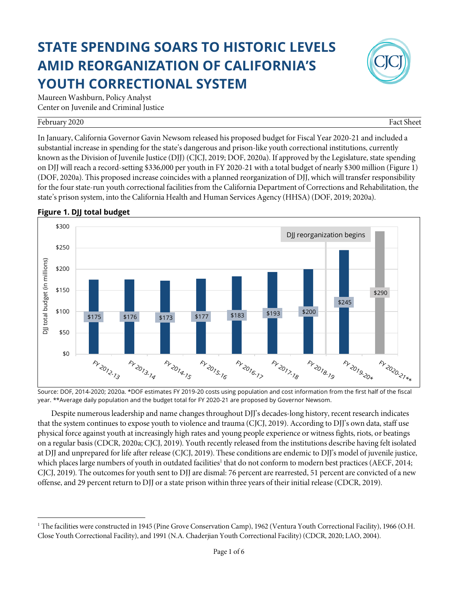# **STATE SPENDING SOARS TO HISTORIC LEVELS AMID REORGANIZATION OF CALIFORNIA'S YOUTH CORRECTIONAL SYSTEM**



Maureen Washburn, Policy Analyst Center on Juvenile and Criminal Justice

#### February 2020 Fact Sheet

In January, California Governor Gavin Newsom released his proposed budget for Fiscal Year 2020-21 and included a substantial increase in spending for the state's dangerous and prison-like youth correctional institutions, currently known as the Division of Juvenile Justice (DJJ) (CJCJ, 2019; DOF, 2020a). If approved by the Legislature, state spending on DJJ will reach a record-setting \$336,000 per youth in FY 2020-21 with a total budget of nearly \$300 million (Figure 1) (DOF, 2020a). This proposed increase coincides with a planned reorganization of DJJ, which will transfer responsibility for the four state-run youth correctional facilities from the California Department of Corrections and Rehabilitation, the state's prison system, into the California Health and Human Services Agency (HHSA) (DOF, 2019; 2020a).



#### **Figure 1. DJJ total budget**

Source: DOF, 2014-2020; 2020a. \*DOF estimates FY 2019-20 costs using population and cost information from the first half of the fiscal year. \*\*Average daily population and the budget total for FY 2020-21 are proposed by Governor Newsom.

Despite numerous leadership and name changes throughout DJJ's decades-long history, recent research indicates that the system continues to expose youth to violence and trauma (CJCJ, 2019). According to DJJ's own data, staff use physical force against youth at increasingly high rates and young people experience or witness fights, riots, or beatings on a regular basis (CDCR, 2020a; CJCJ, 2019). Youth recently released from the institutions describe having felt isolated at DJJ and unprepared for life after release (CJCJ, 2019). These conditions are endemic to DJJ's model of juvenile justice, which places large numbers of youth in outdated facilities<sup>1</sup> that do not conform to modern best practices (AECF, 2014; CJCJ, 2019). The outcomes for youth sent to DJJ are dismal: 76 percent are rearrested, 51 percent are convicted of a new offense, and 29 percent return to DJJ or a state prison within three years of their initial release (CDCR, 2019).

l <sup>1</sup> The facilities were constructed in 1945 (Pine Grove Conservation Camp), 1962 (Ventura Youth Correctional Facility), 1966 (O.H. Close Youth Correctional Facility), and 1991 (N.A. Chaderjian Youth Correctional Facility) (CDCR, 2020; LAO, 2004).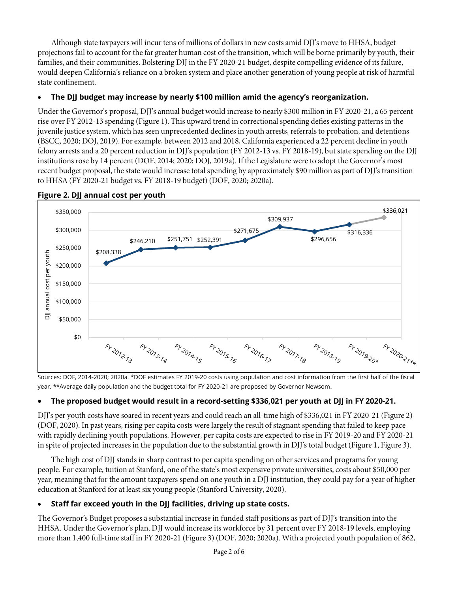Although state taxpayers will incur tens of millions of dollars in new costs amid DJJ's move to HHSA, budget projections fail to account for the far greater human cost of the transition, which will be borne primarily by youth, their families, and their communities. Bolstering DJJ in the FY 2020-21 budget, despite compelling evidence of its failure, would deepen California's reliance on a broken system and place another generation of young people at risk of harmful state confinement.

# • **The DJJ budget may increase by nearly \$100 million amid the agency's reorganization.**

Under the Governor's proposal, DJJ's annual budget would increase to nearly \$300 million in FY 2020-21, a 65 percent rise over FY 2012-13 spending (Figure 1). This upward trend in correctional spending defies existing patterns in the juvenile justice system, which has seen unprecedented declines in youth arrests, referrals to probation, and detentions (BSCC, 2020; DOJ, 2019). For example, between 2012 and 2018, California experienced a 22 percent decline in youth felony arrests and a 20 percent reduction in DJJ's population (FY 2012-13 vs. FY 2018-19), but state spending on the DJJ institutions rose by 14 percent (DOF, 2014; 2020; DOJ, 2019a). If the Legislature were to adopt the Governor's most recent budget proposal, the state would increase total spending by approximately \$90 million as part of DJJ's transition to HHSA (FY 2020-21 budget vs. FY 2018-19 budget) (DOF, 2020; 2020a).



#### **Figure 2. DJJ annual cost per youth**

Sources: DOF, 2014-2020; 2020a. \*DOF estimates FY 2019-20 costs using population and cost information from the first half of the fiscal year. \*\*Average daily population and the budget total for FY 2020-21 are proposed by Governor Newsom.

### • **The proposed budget would result in a record-setting \$336,021 per youth at DJJ in FY 2020-21.**

DJJ's per youth costs have soared in recent years and could reach an all-time high of \$336,021 in FY 2020-21 (Figure 2) (DOF, 2020). In past years, rising per capita costs were largely the result of stagnant spending that failed to keep pace with rapidly declining youth populations. However, per capita costs are expected to rise in FY 2019-20 and FY 2020-21 in spite of projected increases in the population due to the substantial growth in DJJ's total budget (Figure 1, Figure 3).

The high cost of DJJ stands in sharp contrast to per capita spending on other services and programs for young people. For example, tuition at Stanford, one of the state's most expensive private universities, costs about \$50,000 per year, meaning that for the amount taxpayers spend on one youth in a DJJ institution, they could pay for a year of higher education at Stanford for at least six young people (Stanford University, 2020).

### • **Staff far exceed youth in the DJJ facilities, driving up state costs.**

The Governor's Budget proposes a substantial increase in funded staff positions as part of DJJ's transition into the HHSA. Under the Governor's plan, DJJ would increase its workforce by 31 percent over FY 2018-19 levels, employing more than 1,400 full-time staff in FY 2020-21 (Figure 3) (DOF, 2020; 2020a). With a projected youth population of 862,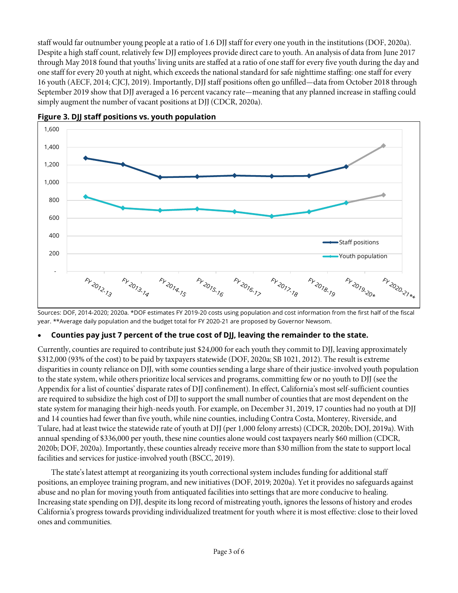staff would far outnumber young people at a ratio of 1.6 DJJ staff for every one youth in the institutions (DOF, 2020a). Despite a high staff count, relatively few DJJ employees provide direct care to youth. An analysis of data from June 2017 through May 2018 found that youths' living units are staffed at a ratio of one staff for every five youth during the day and one staff for every 20 youth at night, which exceeds the national standard for safe nighttime staffing: one staff for every 16 youth (AECF, 2014; CJCJ, 2019). Importantly, DJJ staff positions often go unfilled—data from October 2018 through September 2019 show that DJJ averaged a 16 percent vacancy rate—meaning that any planned increase in staffing could simply augment the number of vacant positions at DJJ (CDCR, 2020a).





Sources: DOF, 2014-2020; 2020a. \*DOF estimates FY 2019-20 costs using population and cost information from the first half of the fiscal year. \*\*Average daily population and the budget total for FY 2020-21 are proposed by Governor Newsom.

#### • **Counties pay just 7 percent of the true cost of DJJ, leaving the remainder to the state.**

Currently, counties are required to contribute just \$24,000 for each youth they commit to DJJ, leaving approximately \$312,000 (93% of the cost) to be paid by taxpayers statewide (DOF, 2020a; SB 1021, 2012). The result is extreme disparities in county reliance on DJJ, with some counties sending a large share of their justice-involved youth population to the state system, while others prioritize local services and programs, committing few or no youth to DJJ (see the Appendix for a list of counties' disparate rates of DJJ confinement). In effect, California's most self-sufficient counties are required to subsidize the high cost of DJJ to support the small number of counties that are most dependent on the state system for managing their high-needs youth. For example, on December 31, 2019, 17 counties had no youth at DJJ and 14 counties had fewer than five youth, while nine counties, including Contra Costa, Monterey, Riverside, and Tulare, had at least twice the statewide rate of youth at DJJ (per 1,000 felony arrests) (CDCR, 2020b; DOJ, 2019a). With annual spending of \$336,000 per youth, these nine counties alone would cost taxpayers nearly \$60 million (CDCR, 2020b; DOF, 2020a). Importantly, these counties already receive more than \$30 million from the state to support local facilities and services for justice-involved youth (BSCC, 2019).

The state's latest attempt at reorganizing its youth correctional system includes funding for additional staff positions, an employee training program, and new initiatives (DOF, 2019; 2020a). Yet it provides no safeguards against abuse and no plan for moving youth from antiquated facilities into settings that are more conducive to healing. Increasing state spending on DJJ, despite its long record of mistreating youth, ignores the lessons of history and erodes California's progress towards providing individualized treatment for youth where it is most effective: close to their loved ones and communities.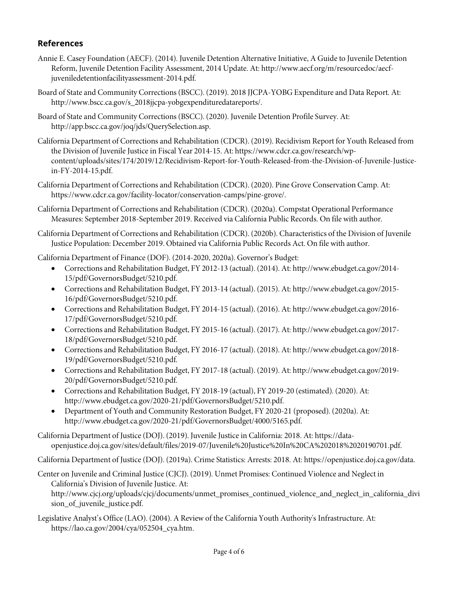# **References**

- Annie E. Casey Foundation (AECF). (2014). Juvenile Detention Alternative Initiative, A Guide to Juvenile Detention Reform, Juvenile Detention Facility Assessment, 2014 Update. At: http://www.aecf.org/m/resourcedoc/aecfjuveniledetentionfacilityassessment-2014.pdf.
- Board of State and Community Corrections (BSCC). (2019). 2018 JJCPA-YOBG Expenditure and Data Report. At: http://www.bscc.ca.gov/s\_2018jjcpa-yobgexpendituredatareports/.
- Board of State and Community Corrections (BSCC). (2020). Juvenile Detention Profile Survey. At: http://app.bscc.ca.gov/joq/jds/QuerySelection.asp.
- California Department of Corrections and Rehabilitation (CDCR). (2019). Recidivism Report for Youth Released from the Division of Juvenile Justice in Fiscal Year 2014-15. At: https://www.cdcr.ca.gov/research/wpcontent/uploads/sites/174/2019/12/Recidivism-Report-for-Youth-Released-from-the-Division-of-Juvenile-Justicein-FY-2014-15.pdf.
- California Department of Corrections and Rehabilitation (CDCR). (2020). Pine Grove Conservation Camp. At: https://www.cdcr.ca.gov/facility-locator/conservation-camps/pine-grove/.
- California Department of Corrections and Rehabilitation (CDCR). (2020a). Compstat Operational Performance Measures: September 2018-September 2019. Received via California Public Records. On file with author.
- California Department of Corrections and Rehabilitation (CDCR). (2020b). Characteristics of the Division of Juvenile Justice Population: December 2019. Obtained via California Public Records Act. On file with author.

California Department of Finance (DOF). (2014-2020, 2020a). Governor's Budget:

- Corrections and Rehabilitation Budget, FY 2012-13 (actual). (2014). At: http://www.ebudget.ca.gov/2014- 15/pdf/GovernorsBudget/5210.pdf.
- Corrections and Rehabilitation Budget, FY 2013-14 (actual). (2015). At: http://www.ebudget.ca.gov/2015- 16/pdf/GovernorsBudget/5210.pdf.
- Corrections and Rehabilitation Budget, FY 2014-15 (actual). (2016). At: http://www.ebudget.ca.gov/2016- 17/pdf/GovernorsBudget/5210.pdf.
- Corrections and Rehabilitation Budget, FY 2015-16 (actual). (2017). At: http://www.ebudget.ca.gov/2017- 18/pdf/GovernorsBudget/5210.pdf.
- Corrections and Rehabilitation Budget, FY 2016-17 (actual). (2018). At: http://www.ebudget.ca.gov/2018- 19/pdf/GovernorsBudget/5210.pdf.
- Corrections and Rehabilitation Budget, FY 2017-18 (actual). (2019). At: http://www.ebudget.ca.gov/2019- 20/pdf/GovernorsBudget/5210.pdf.
- Corrections and Rehabilitation Budget, FY 2018-19 (actual), FY 2019-20 (estimated). (2020). At: http://www.ebudget.ca.gov/2020-21/pdf/GovernorsBudget/5210.pdf.
- Department of Youth and Community Restoration Budget, FY 2020-21 (proposed). (2020a). At: http://www.ebudget.ca.gov/2020-21/pdf/GovernorsBudget/4000/5165.pdf.

California Department of Justice (DOJ). (2019). Juvenile Justice in California: 2018. At: https://dataopenjustice.doj.ca.gov/sites/default/files/2019-07/Juvenile%20Justice%20In%20CA%202018%2020190701.pdf.

California Department of Justice (DOJ). (2019a). Crime Statistics: Arrests: 2018. At: https://openjustice.doj.ca.gov/data.

Center on Juvenile and Criminal Justice (CJCJ). (2019). Unmet Promises: Continued Violence and Neglect in California's Division of Juvenile Justice. At:

http://www.cjcj.org/uploads/cjcj/documents/unmet\_promises\_continued\_violence\_and\_neglect\_in\_california\_divi sion\_of\_juvenile\_justice.pdf.

Legislative Analyst's Office (LAO). (2004). A Review of the California Youth Authority's Infrastructure. At: https://lao.ca.gov/2004/cya/052504\_cya.htm.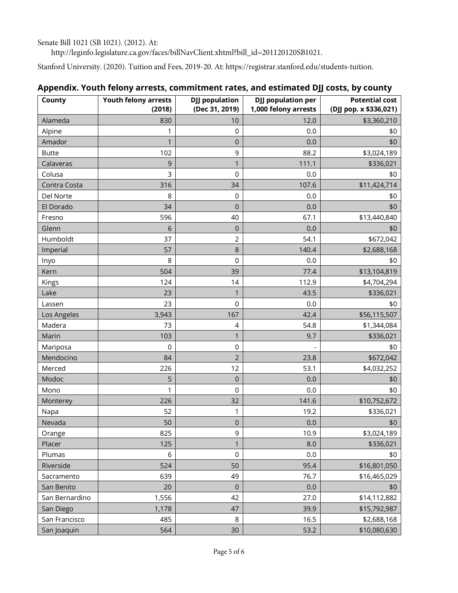Senate Bill 1021 (SB 1021). (2012). At:

http://leginfo.legislature.ca.gov/faces/billNavClient.xhtml?bill\_id=201120120SB1021.

Stanford University. (2020). Tuition and Fees, 2019-20. At: https://registrar.stanford.edu/students-tuition.

| County         | <b>Youth felony arrests</b> | <b>DJJ</b> population | <b>DJJ</b> population per | <b>Potential cost</b>  |
|----------------|-----------------------------|-----------------------|---------------------------|------------------------|
|                | (2018)                      | (Dec 31, 2019)        | 1,000 felony arrests      | (DJJ pop. x \$336,021) |
| Alameda        | 830                         | 10                    | 12.0                      | \$3,360,210            |
| Alpine         | 1                           | 0                     | 0.0                       | \$0                    |
| Amador         | $\mathbf{1}$                | 0                     | 0.0                       | \$0                    |
| <b>Butte</b>   | 102                         | 9                     | 88.2                      | \$3,024,189            |
| Calaveras      | 9                           | 1                     | 111.1                     | \$336,021              |
| Colusa         | 3                           | 0                     | 0.0                       | \$0                    |
| Contra Costa   | 316                         | 34                    | 107.6                     | \$11,424,714           |
| Del Norte      | 8                           | 0                     | 0.0                       | \$0                    |
| El Dorado      | 34                          | $\mathbf 0$           | 0.0                       | \$0                    |
| Fresno         | 596                         | 40                    | 67.1                      | \$13,440,840           |
| Glenn          | $6\,$                       | $\mathsf 0$           | 0.0                       | \$0                    |
| Humboldt       | 37                          | $\overline{2}$        | 54.1                      | \$672,042              |
| Imperial       | 57                          | $\,8\,$               | 140.4                     | \$2,688,168            |
| Inyo           | 8                           | 0                     | 0.0                       | \$0                    |
| Kern           | 504                         | 39                    | 77.4                      | \$13,104,819           |
| Kings          | 124                         | 14                    | 112.9                     | \$4,704,294            |
| Lake           | 23                          | 1                     | 43.5                      | \$336,021              |
| Lassen         | 23                          | $\mathsf 0$           | 0.0                       | \$0                    |
| Los Angeles    | 3,943                       | 167                   | 42.4                      | \$56,115,507           |
| Madera         | 73                          | 4                     | 54.8                      | \$1,344,084            |
| Marin          | 103                         | $\mathbf{1}$          | 9.7                       | \$336,021              |
| Mariposa       | 0                           | 0                     |                           | \$0                    |
| Mendocino      | 84                          | $\overline{2}$        | 23.8                      | \$672,042              |
| Merced         | 226                         | 12                    | 53.1                      | \$4,032,252            |
| Modoc          | 5                           | $\mathbf 0$           | 0.0                       | \$0                    |
| Mono           | 1                           | 0                     | 0.0                       | \$0                    |
| Monterey       | 226                         | 32                    | 141.6                     | \$10,752,672           |
| Napa           | 52                          | 1                     | 19.2                      | \$336,021              |
| Nevada         | 50                          | $\mathsf 0$           | 0.0                       | \$0                    |
| Orange         | 825                         | 9                     | 10.9                      | \$3,024,189            |
| Placer         | 125                         | $\mathbf{1}$          | 8.0                       | \$336,021              |
| Plumas         | 6                           | $\mathsf{O}\xspace$   | 0.0                       | \$0                    |
| Riverside      | 524                         | 50                    | 95.4                      | \$16,801,050           |
| Sacramento     | 639                         | 49                    | 76.7                      | \$16,465,029           |
| San Benito     | 20                          | $\mathbf 0$           | 0.0                       | \$0                    |
| San Bernardino | 1,556                       | 42                    | 27.0                      | \$14,112,882           |
| San Diego      | 1,178                       | 47                    | 39.9                      | \$15,792,987           |
| San Francisco  | 485                         | 8                     | 16.5                      | \$2,688,168            |
| San Joaquin    | 564                         | 30                    | 53.2                      | \$10,080,630           |

## **Appendix. Youth felony arrests, commitment rates, and estimated DJJ costs, by county**